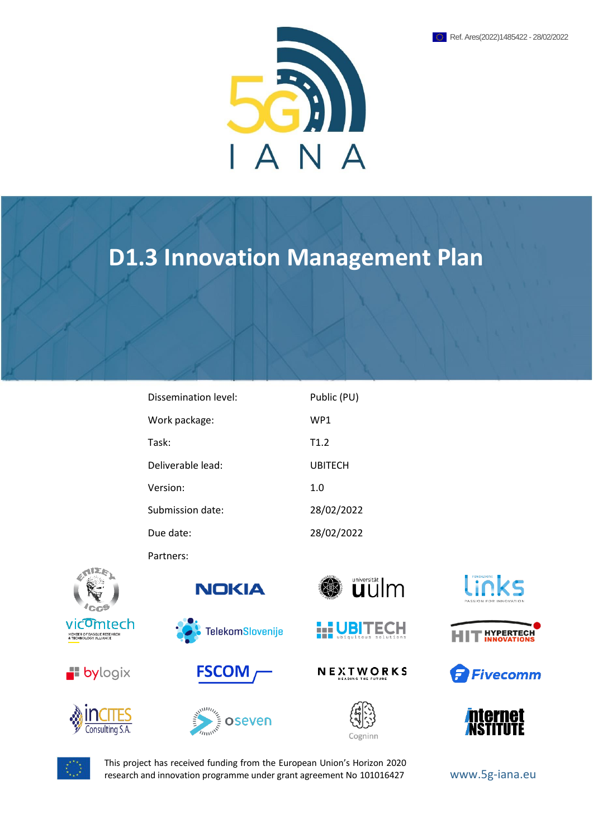

# **D1.3 Innovation Management Plan**

| Dissemination level: | Public (PU)     |
|----------------------|-----------------|
| Work package:        | WP <sub>1</sub> |
| Task:                | T1.2            |
| Deliverable lead:    | <b>UBITECH</b>  |
| Version:             | 1.0             |
| Submission date:     | 28/02/2022      |
| Due date:            | 28/02/2022      |

Partners:



















NEXTWORKS













This project has received funding from the European Union's Horizon 2020 research and innovation programme under grant agreement No 101016427 WWW.5g-iana.eu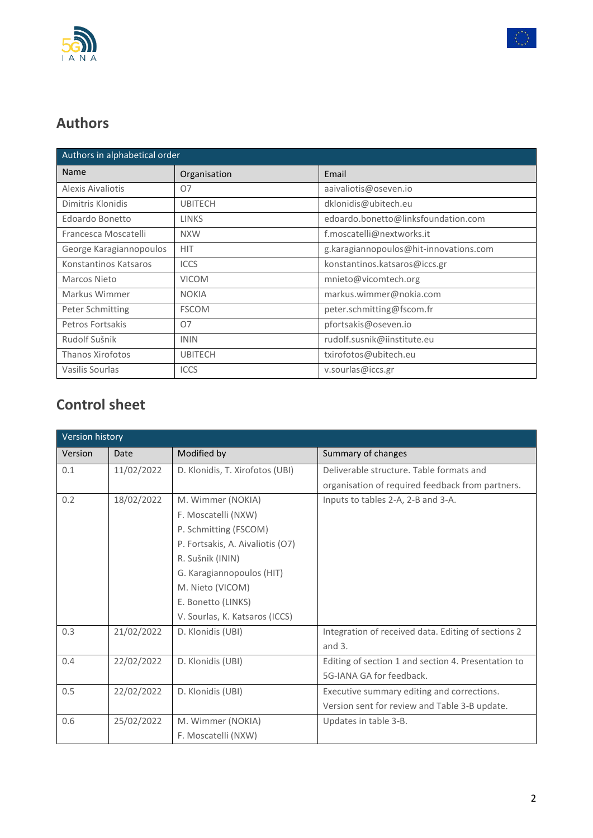



## **Authors**

| Authors in alphabetical order |                |                                        |  |
|-------------------------------|----------------|----------------------------------------|--|
| Name                          | Organisation   | Email                                  |  |
| Alexis Aivaliotis             | O7             | aaivaliotis@oseven.io                  |  |
| Dimitris Klonidis             | <b>UBITECH</b> | dklonidis@ubitech.eu                   |  |
| Edoardo Bonetto               | <b>LINKS</b>   | edoardo.bonetto@linksfoundation.com    |  |
| Francesca Moscatelli          | <b>NXW</b>     | f.moscatelli@nextworks.it              |  |
| George Karagiannopoulos       | <b>HIT</b>     | g.karagiannopoulos@hit-innovations.com |  |
| Konstantinos Katsaros         | <b>ICCS</b>    | konstantinos.katsaros@iccs.gr          |  |
| Marcos Nieto                  | <b>VICOM</b>   | mnieto@vicomtech.org                   |  |
| Markus Wimmer                 | <b>NOKIA</b>   | markus.wimmer@nokia.com                |  |
| Peter Schmitting              | <b>FSCOM</b>   | peter.schmitting@fscom.fr              |  |
| Petros Fortsakis              | 07             | pfortsakis@oseven.io                   |  |
| Rudolf Sušnik                 | <b>ININ</b>    | rudolf.susnik@iinstitute.eu            |  |
| <b>Thanos Xirofotos</b>       | <b>UBITECH</b> | txirofotos@ubitech.eu                  |  |
| Vasilis Sourlas               | <b>ICCS</b>    | v.sourlas@iccs.gr                      |  |

## **Control sheet**

| Version history |            |                                  |                                                     |
|-----------------|------------|----------------------------------|-----------------------------------------------------|
| Version         | Date       | Modified by                      | Summary of changes                                  |
| 0.1             | 11/02/2022 | D. Klonidis, T. Xirofotos (UBI)  | Deliverable structure. Table formats and            |
|                 |            |                                  | organisation of required feedback from partners.    |
| 0.2             | 18/02/2022 | M. Wimmer (NOKIA)                | Inputs to tables 2-A, 2-B and 3-A.                  |
|                 |            | F. Moscatelli (NXW)              |                                                     |
|                 |            | P. Schmitting (FSCOM)            |                                                     |
|                 |            | P. Fortsakis, A. Aivaliotis (O7) |                                                     |
|                 |            | R. Sušnik (ININ)                 |                                                     |
|                 |            | G. Karagiannopoulos (HIT)        |                                                     |
|                 |            | M. Nieto (VICOM)                 |                                                     |
|                 |            | E. Bonetto (LINKS)               |                                                     |
|                 |            | V. Sourlas, K. Katsaros (ICCS)   |                                                     |
| 0.3             | 21/02/2022 | D. Klonidis (UBI)                | Integration of received data. Editing of sections 2 |
|                 |            |                                  | and $3.$                                            |
| 0.4             | 22/02/2022 | D. Klonidis (UBI)                | Editing of section 1 and section 4. Presentation to |
|                 |            |                                  | 5G-IANA GA for feedback.                            |
| 0.5             | 22/02/2022 | D. Klonidis (UBI)                | Executive summary editing and corrections.          |
|                 |            |                                  | Version sent for review and Table 3-B update.       |
| 0.6             | 25/02/2022 | M. Wimmer (NOKIA)                | Updates in table 3-B.                               |
|                 |            | F. Moscatelli (NXW)              |                                                     |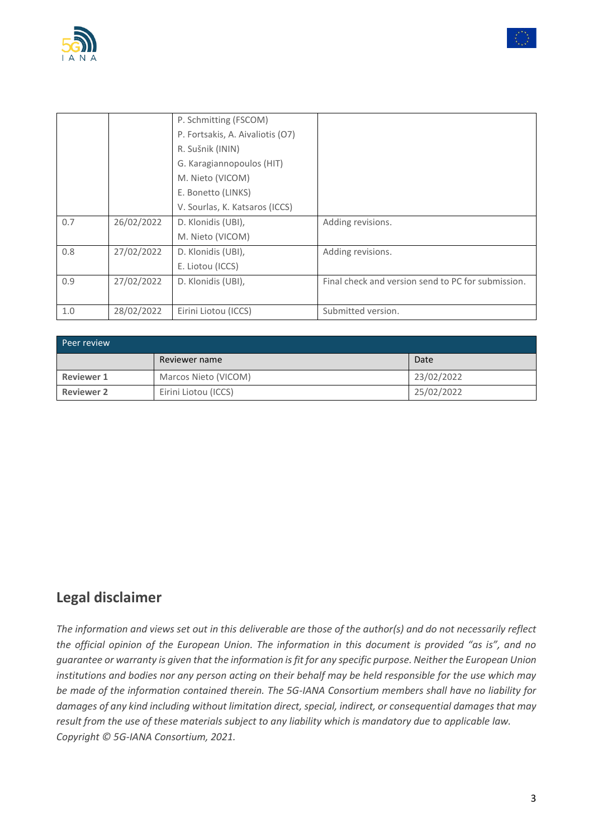



| Peer review       |                      |            |  |  |
|-------------------|----------------------|------------|--|--|
|                   | Reviewer name        | Date       |  |  |
| <b>Reviewer 1</b> | Marcos Nieto (VICOM) | 23/02/2022 |  |  |
| <b>Reviewer 2</b> | Eirini Liotou (ICCS) | 25/02/2022 |  |  |

## **Legal disclaimer**

*The information and views set out in this deliverable are those of the author(s) and do not necessarily reflect the official opinion of the European Union. The information in this document is provided "as is", and no guarantee or warranty is given that the information is fit for any specific purpose. Neither the European Union institutions and bodies nor any person acting on their behalf may be held responsible for the use which may be made of the information contained therein. The 5G-IANA Consortium members shall have no liability for damages of any kind including without limitation direct, special, indirect, or consequential damages that may result from the use of these materials subject to any liability which is mandatory due to applicable law. Copyright © 5G-IANA Consortium, 2021.*

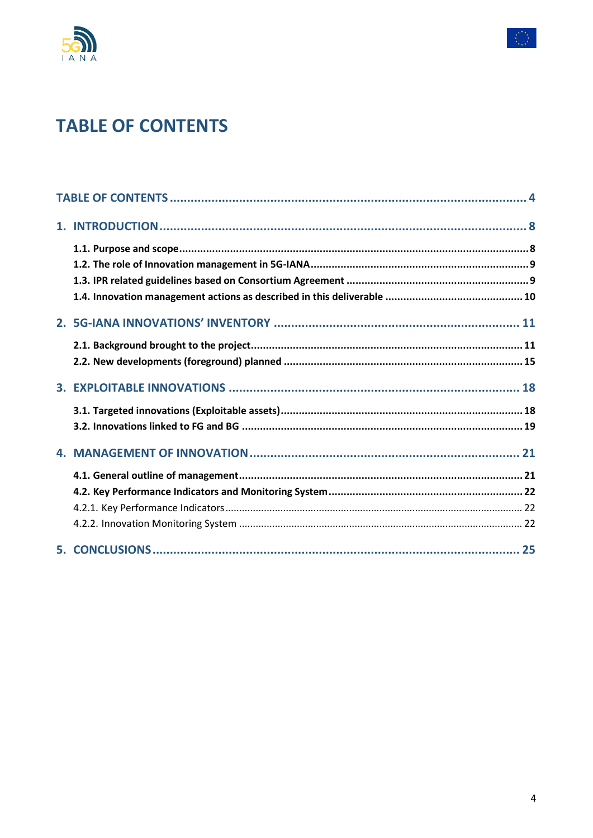



# <span id="page-3-0"></span>**TABLE OF CONTENTS**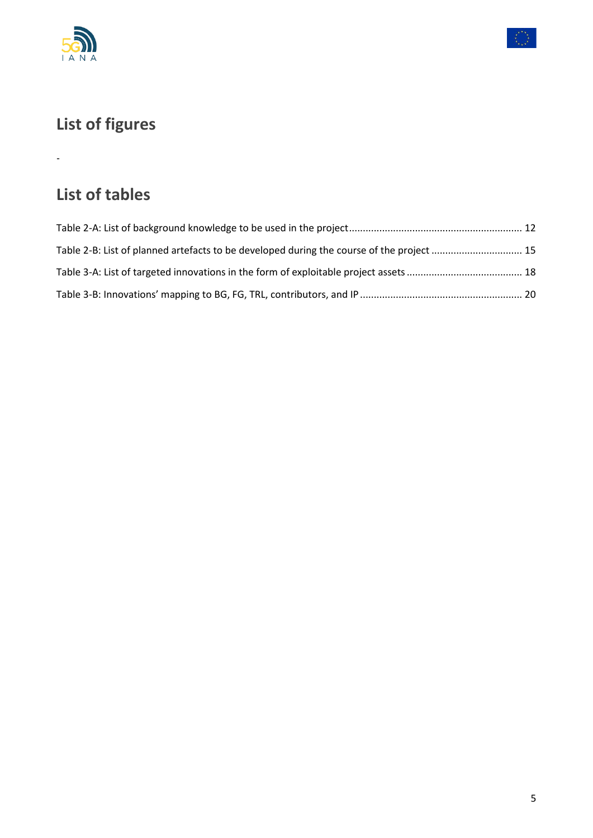

-



# **List of figures**

## **List of tables**

| Table 2-B: List of planned artefacts to be developed during the course of the project  15 |  |
|-------------------------------------------------------------------------------------------|--|
|                                                                                           |  |
|                                                                                           |  |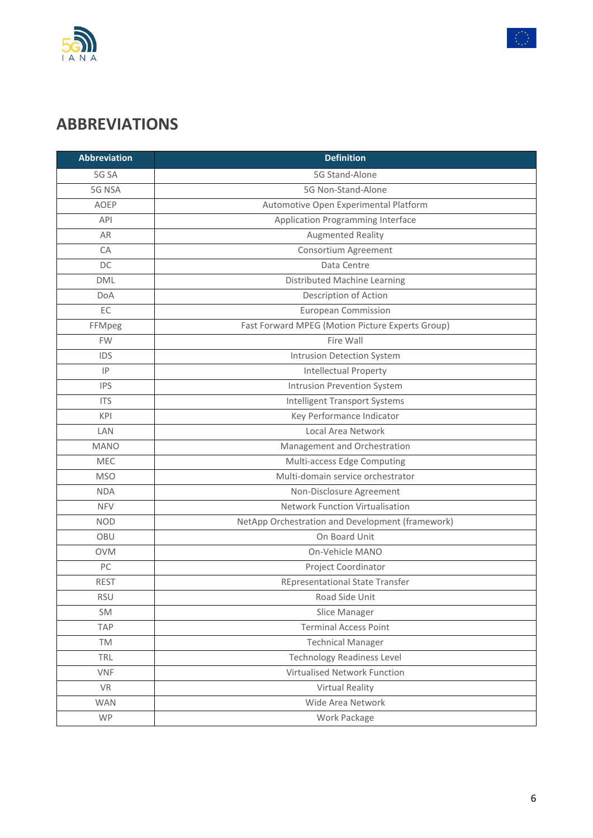



# **ABBREVIATIONS**

| <b>Abbreviation</b> | <b>Definition</b>                                |
|---------------------|--------------------------------------------------|
| 5G SA               | 5G Stand-Alone                                   |
| 5G NSA              | 5G Non-Stand-Alone                               |
| <b>AOEP</b>         | Automotive Open Experimental Platform            |
| <b>API</b>          | Application Programming Interface                |
| AR                  | <b>Augmented Reality</b>                         |
| CA                  | Consortium Agreement                             |
| DC                  | Data Centre                                      |
| <b>DML</b>          | Distributed Machine Learning                     |
| DoA                 | Description of Action                            |
| EC                  | <b>European Commission</b>                       |
| FFMpeg              | Fast Forward MPEG (Motion Picture Experts Group) |
| <b>FW</b>           | Fire Wall                                        |
| <b>IDS</b>          | Intrusion Detection System                       |
| IP                  | Intellectual Property                            |
| <b>IPS</b>          | Intrusion Prevention System                      |
| <b>ITS</b>          | <b>Intelligent Transport Systems</b>             |
| <b>KPI</b>          | Key Performance Indicator                        |
| LAN                 | Local Area Network                               |
| <b>MANO</b>         | Management and Orchestration                     |
| MEC                 | Multi-access Edge Computing                      |
| <b>MSO</b>          | Multi-domain service orchestrator                |
| <b>NDA</b>          | Non-Disclosure Agreement                         |
| <b>NFV</b>          | <b>Network Function Virtualisation</b>           |
| <b>NOD</b>          | NetApp Orchestration and Development (framework) |
| OBU                 | On Board Unit                                    |
| <b>OVM</b>          | On-Vehicle MANO                                  |
| PC                  | Project Coordinator                              |
| <b>REST</b>         | <b>REpresentational State Transfer</b>           |
| <b>RSU</b>          | Road Side Unit                                   |
| SM                  | Slice Manager                                    |
| <b>TAP</b>          | <b>Terminal Access Point</b>                     |
| TM                  | <b>Technical Manager</b>                         |
| TRL                 | <b>Technology Readiness Level</b>                |
| <b>VNF</b>          | Virtualised Network Function                     |
| <b>VR</b>           | <b>Virtual Reality</b>                           |
| <b>WAN</b>          | Wide Area Network                                |
| <b>WP</b>           | Work Package                                     |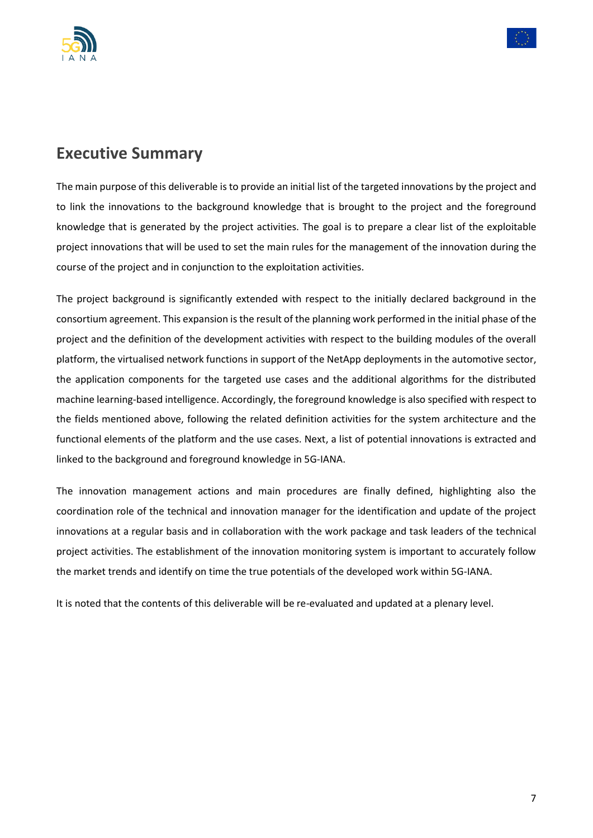



## **Executive Summary**

The main purpose of this deliverable is to provide an initial list of the targeted innovations by the project and to link the innovations to the background knowledge that is brought to the project and the foreground knowledge that is generated by the project activities. The goal is to prepare a clear list of the exploitable project innovations that will be used to set the main rules for the management of the innovation during the course of the project and in conjunction to the exploitation activities.

The project background is significantly extended with respect to the initially declared background in the consortium agreement. This expansion is the result of the planning work performed in the initial phase of the project and the definition of the development activities with respect to the building modules of the overall platform, the virtualised network functions in support of the NetApp deployments in the automotive sector, the application components for the targeted use cases and the additional algorithms for the distributed machine learning-based intelligence. Accordingly, the foreground knowledge is also specified with respect to the fields mentioned above, following the related definition activities for the system architecture and the functional elements of the platform and the use cases. Next, a list of potential innovations is extracted and linked to the background and foreground knowledge in 5G-IANA.

The innovation management actions and main procedures are finally defined, highlighting also the coordination role of the technical and innovation manager for the identification and update of the project innovations at a regular basis and in collaboration with the work package and task leaders of the technical project activities. The establishment of the innovation monitoring system is important to accurately follow the market trends and identify on time the true potentials of the developed work within 5G-IANA.

It is noted that the contents of this deliverable will be re-evaluated and updated at a plenary level.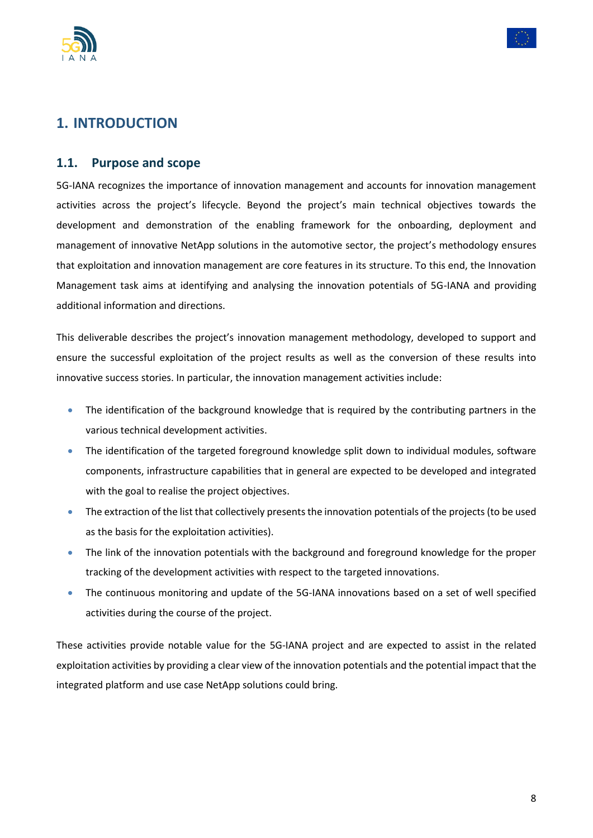



## <span id="page-7-0"></span>**1. INTRODUCTION**

#### <span id="page-7-1"></span>**1.1. Purpose and scope**

5G-IANA recognizes the importance of innovation management and accounts for innovation management activities across the project's lifecycle. Beyond the project's main technical objectives towards the development and demonstration of the enabling framework for the onboarding, deployment and management of innovative NetApp solutions in the automotive sector, the project's methodology ensures that exploitation and innovation management are core features in its structure. To this end, the Innovation Management task aims at identifying and analysing the innovation potentials of 5G-IANA and providing additional information and directions.

This deliverable describes the project's innovation management methodology, developed to support and ensure the successful exploitation of the project results as well as the conversion of these results into innovative success stories. In particular, the innovation management activities include:

- The identification of the background knowledge that is required by the contributing partners in the various technical development activities.
- The identification of the targeted foreground knowledge split down to individual modules, software components, infrastructure capabilities that in general are expected to be developed and integrated with the goal to realise the project objectives.
- The extraction of the list that collectively presents the innovation potentials of the projects (to be used as the basis for the exploitation activities).
- The link of the innovation potentials with the background and foreground knowledge for the proper tracking of the development activities with respect to the targeted innovations.
- The continuous monitoring and update of the 5G-IANA innovations based on a set of well specified activities during the course of the project.

These activities provide notable value for the 5G-IANA project and are expected to assist in the related exploitation activities by providing a clear view of the innovation potentials and the potential impact that the integrated platform and use case NetApp solutions could bring.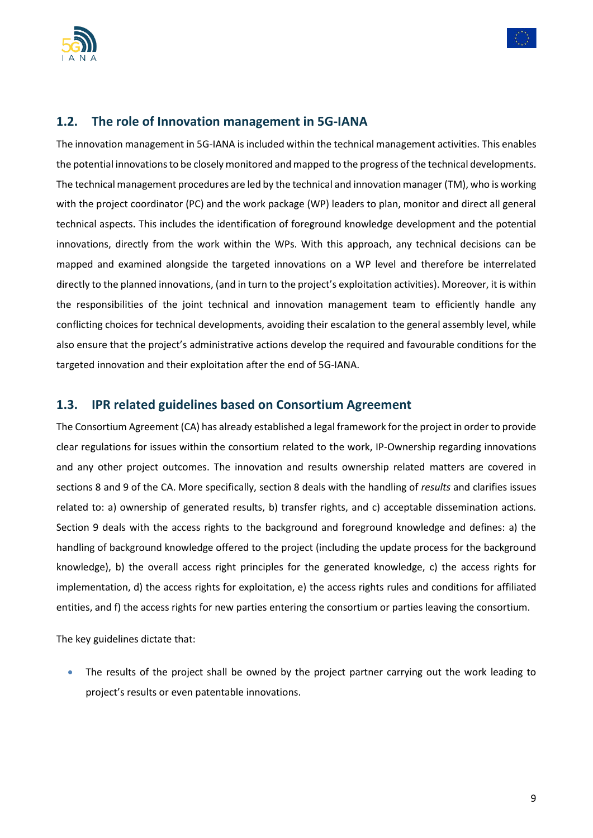



#### <span id="page-8-0"></span>**1.2. The role of Innovation management in 5G-IANA**

The innovation management in 5G-IANA is included within the technical management activities. This enables the potential innovations to be closely monitored and mapped to the progress of the technical developments. The technical management procedures are led by the technical and innovation manager (TM), who is working with the project coordinator (PC) and the work package (WP) leaders to plan, monitor and direct all general technical aspects. This includes the identification of foreground knowledge development and the potential innovations, directly from the work within the WPs. With this approach, any technical decisions can be mapped and examined alongside the targeted innovations on a WP level and therefore be interrelated directly to the planned innovations, (and in turn to the project's exploitation activities). Moreover, it is within the responsibilities of the joint technical and innovation management team to efficiently handle any conflicting choices for technical developments, avoiding their escalation to the general assembly level, while also ensure that the project's administrative actions develop the required and favourable conditions for the targeted innovation and their exploitation after the end of 5G-IANA.

#### <span id="page-8-1"></span>**1.3. IPR related guidelines based on Consortium Agreement**

The Consortium Agreement (CA) has already established a legal framework for the project in order to provide clear regulations for issues within the consortium related to the work, IP-Ownership regarding innovations and any other project outcomes. The innovation and results ownership related matters are covered in sections 8 and 9 of the CA. More specifically, section 8 deals with the handling of *results* and clarifies issues related to: a) ownership of generated results, b) transfer rights, and c) acceptable dissemination actions. Section 9 deals with the access rights to the background and foreground knowledge and defines: a) the handling of background knowledge offered to the project (including the update process for the background knowledge), b) the overall access right principles for the generated knowledge, c) the access rights for implementation, d) the access rights for exploitation, e) the access rights rules and conditions for affiliated entities, and f) the access rights for new parties entering the consortium or parties leaving the consortium.

The key guidelines dictate that:

The results of the project shall be owned by the project partner carrying out the work leading to project's results or even patentable innovations.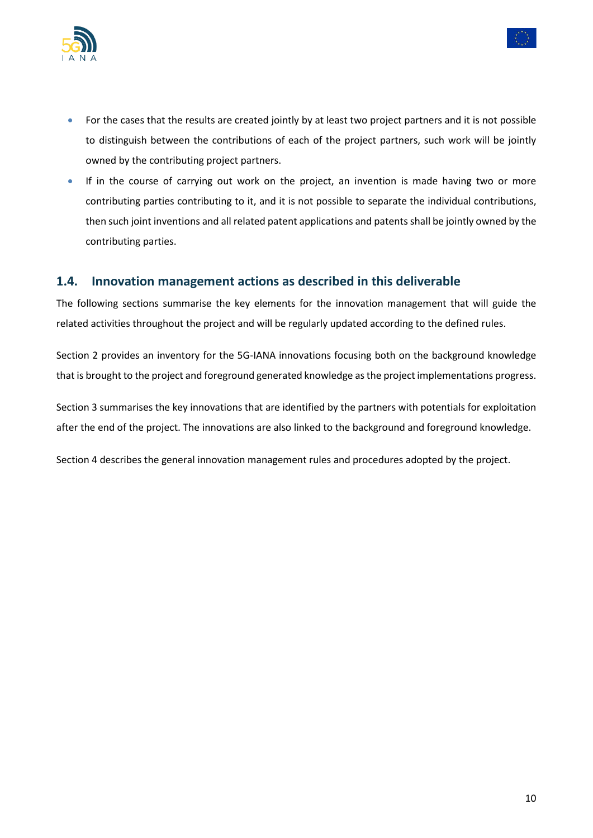



- For the cases that the results are created jointly by at least two project partners and it is not possible to distinguish between the contributions of each of the project partners, such work will be jointly owned by the contributing project partners.
- If in the course of carrying out work on the project, an invention is made having two or more contributing parties contributing to it, and it is not possible to separate the individual contributions, then such joint inventions and all related patent applications and patents shall be jointly owned by the contributing parties.

#### <span id="page-9-0"></span>**1.4. Innovation management actions as described in this deliverable**

The following sections summarise the key elements for the innovation management that will guide the related activities throughout the project and will be regularly updated according to the defined rules.

Section 2 provides an inventory for the 5G-IANA innovations focusing both on the background knowledge that is brought to the project and foreground generated knowledge as the project implementations progress.

Section 3 summarises the key innovations that are identified by the partners with potentials for exploitation after the end of the project. The innovations are also linked to the background and foreground knowledge.

Section 4 describes the general innovation management rules and procedures adopted by the project.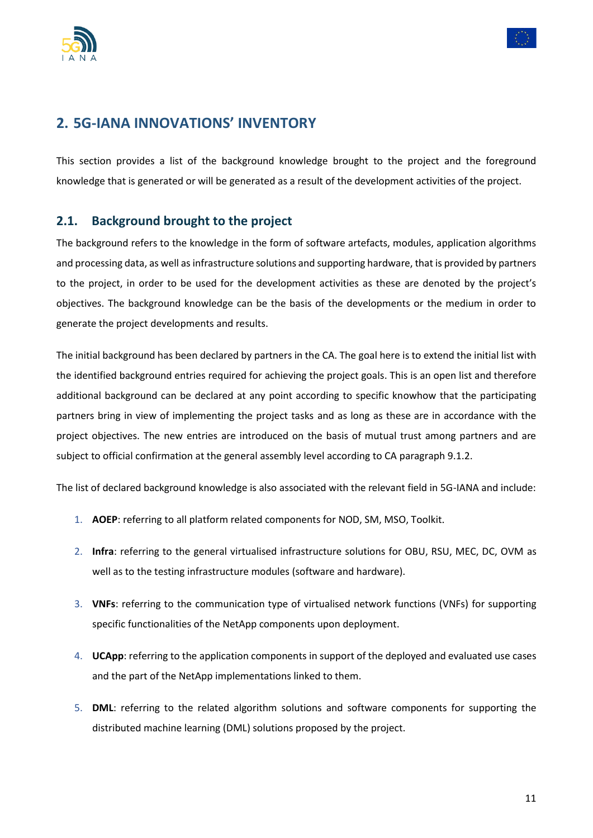



## <span id="page-10-0"></span>**2. 5G-IANA INNOVATIONS' INVENTORY**

This section provides a list of the background knowledge brought to the project and the foreground knowledge that is generated or will be generated as a result of the development activities of the project.

#### <span id="page-10-1"></span>**2.1. Background brought to the project**

The background refers to the knowledge in the form of software artefacts, modules, application algorithms and processing data, as well as infrastructure solutions and supporting hardware, that is provided by partners to the project, in order to be used for the development activities as these are denoted by the project's objectives. The background knowledge can be the basis of the developments or the medium in order to generate the project developments and results.

The initial background has been declared by partners in the CA. The goal here is to extend the initial list with the identified background entries required for achieving the project goals. This is an open list and therefore additional background can be declared at any point according to specific knowhow that the participating partners bring in view of implementing the project tasks and as long as these are in accordance with the project objectives. The new entries are introduced on the basis of mutual trust among partners and are subject to official confirmation at the general assembly level according to CA paragraph 9.1.2.

The list of declared background knowledge is also associated with the relevant field in 5G-IANA and include:

- 1. **AOEP**: referring to all platform related components for NOD, SM, MSO, Toolkit.
- 2. **Infra**: referring to the general virtualised infrastructure solutions for OBU, RSU, MEC, DC, OVM as well as to the testing infrastructure modules (software and hardware).
- 3. **VNFs**: referring to the communication type of virtualised network functions (VNFs) for supporting specific functionalities of the NetApp components upon deployment.
- 4. **UCApp**: referring to the application components in support of the deployed and evaluated use cases and the part of the NetApp implementations linked to them.
- 5. **DML**: referring to the related algorithm solutions and software components for supporting the distributed machine learning (DML) solutions proposed by the project.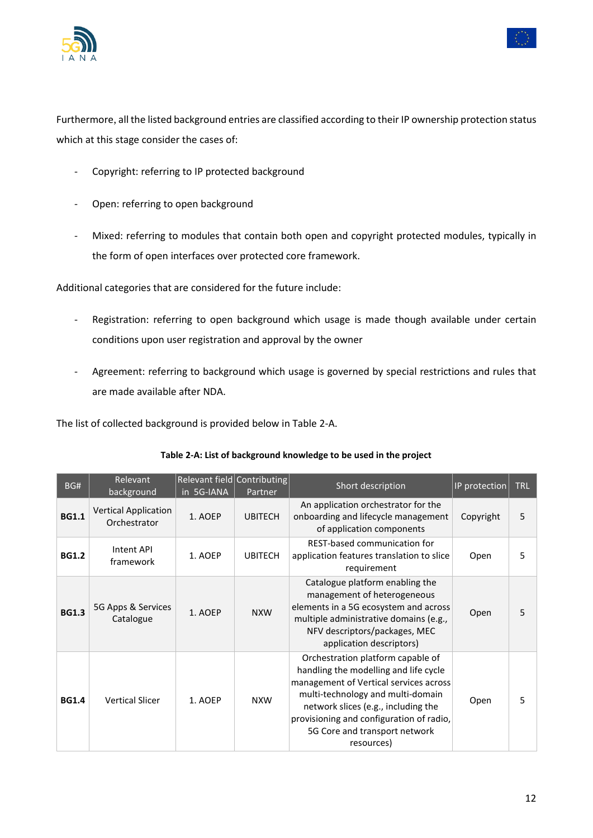



Furthermore, all the listed background entries are classified according to their IP ownership protection status which at this stage consider the cases of:

- Copyright: referring to IP protected background
- Open: referring to open background
- Mixed: referring to modules that contain both open and copyright protected modules, typically in the form of open interfaces over protected core framework.

Additional categories that are considered for the future include:

- Registration: referring to open background which usage is made though available under certain conditions upon user registration and approval by the owner
- Agreement: referring to background which usage is governed by special restrictions and rules that are made available after NDA.

The list of collected background is provided below in [Table 2-A.](#page-11-0)

<span id="page-11-0"></span>

| BG#          | Relevant<br>background                      | Relevant field Contributing<br>in 5G-IANA | Partner        | Short description                                                                                                                                                                                                                                                                           | IP protection | <b>TRL</b> |
|--------------|---------------------------------------------|-------------------------------------------|----------------|---------------------------------------------------------------------------------------------------------------------------------------------------------------------------------------------------------------------------------------------------------------------------------------------|---------------|------------|
| <b>BG1.1</b> | <b>Vertical Application</b><br>Orchestrator | 1. AOEP                                   | <b>UBITECH</b> | An application orchestrator for the<br>onboarding and lifecycle management<br>of application components                                                                                                                                                                                     | Copyright     | 5          |
| <b>BG1.2</b> | Intent API<br>framework                     | 1. AOEP                                   | <b>UBITECH</b> | REST-based communication for<br>application features translation to slice<br>requirement                                                                                                                                                                                                    | Open          | 5          |
| <b>BG1.3</b> | 5G Apps & Services<br>Catalogue             | 1. AOEP                                   | <b>NXW</b>     | Catalogue platform enabling the<br>management of heterogeneous<br>elements in a 5G ecosystem and across<br>multiple administrative domains (e.g.,<br>NFV descriptors/packages, MEC<br>application descriptors)                                                                              | Open          | 5          |
| <b>BG1.4</b> | <b>Vertical Slicer</b>                      | 1. AOEP                                   | <b>NXW</b>     | Orchestration platform capable of<br>handling the modelling and life cycle<br>management of Vertical services across<br>multi-technology and multi-domain<br>network slices (e.g., including the<br>provisioning and configuration of radio,<br>5G Core and transport network<br>resources) | Open          | 5          |

#### **Table 2-A: List of background knowledge to be used in the project**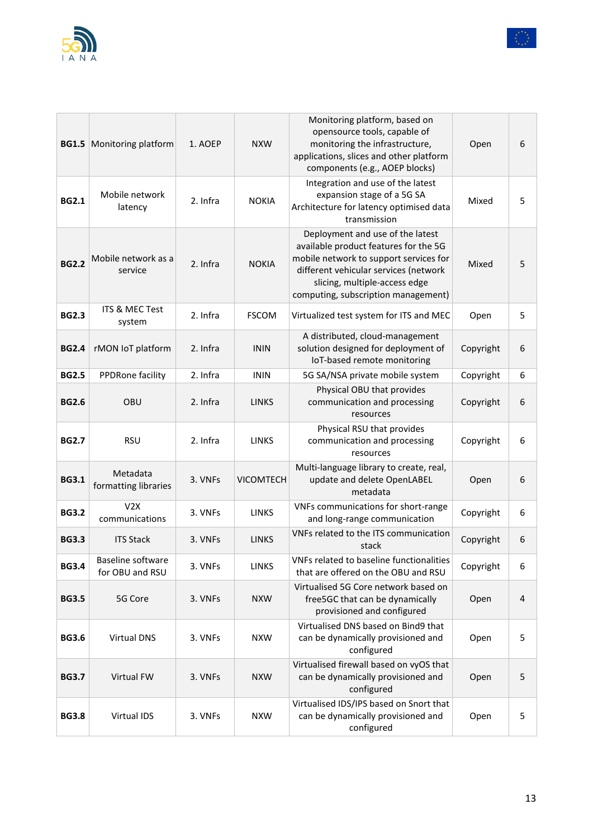



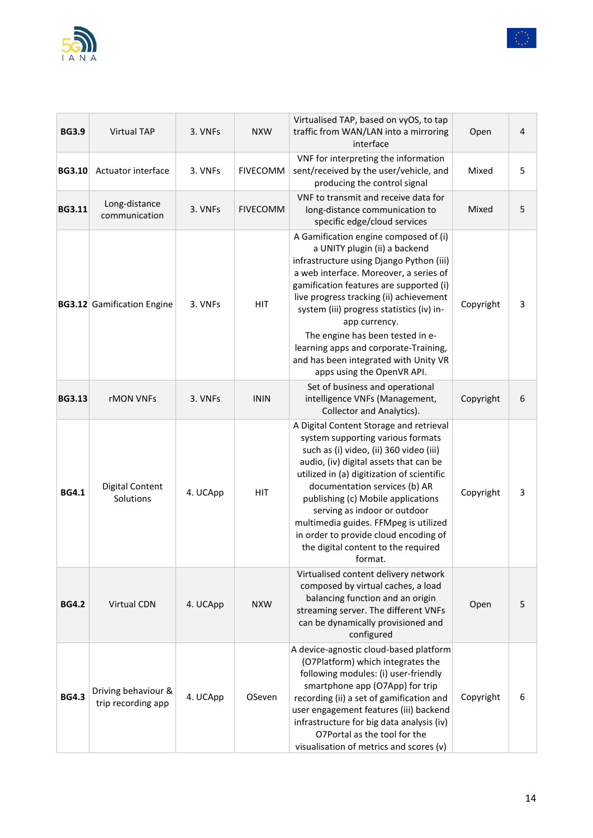



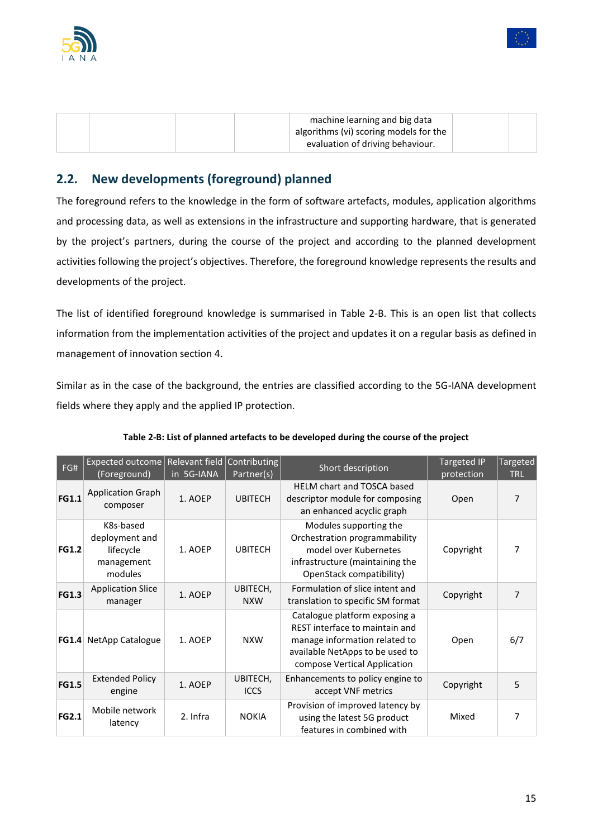



| machine learning and big data<br>algorithms (vi) scoring models for the<br>evaluation of driving behaviour. |  |
|-------------------------------------------------------------------------------------------------------------|--|
|-------------------------------------------------------------------------------------------------------------|--|

## <span id="page-14-0"></span>**2.2. New developments (foreground) planned**

The foreground refers to the knowledge in the form of software artefacts, modules, application algorithms and processing data, as well as extensions in the infrastructure and supporting hardware, that is generated by the project's partners, during the course of the project and according to the planned development activities following the project's objectives. Therefore, the foreground knowledge represents the results and developments of the project.

The list of identified foreground knowledge is summarised in [Table 2-B.](#page-14-1) This is an open list that collects information from the implementation activities of the project and updates it on a regular basis as defined in management of innovation section 4.

Similar as in the case of the background, the entries are classified according to the 5G-IANA development fields where they apply and the applied IP protection.

<span id="page-14-1"></span>

| FG#          | Expected outcome<br>(Foreground)                                  | Relevant field<br>in 5G-IANA | Contributing<br>Partner(s) | Short description                                                                                                                                                   | <b>Targeted IP</b><br>protection | Targeted<br><b>TRL</b> |
|--------------|-------------------------------------------------------------------|------------------------------|----------------------------|---------------------------------------------------------------------------------------------------------------------------------------------------------------------|----------------------------------|------------------------|
| <b>FG1.1</b> | <b>Application Graph</b><br>composer                              | 1. AOEP                      | <b>UBITECH</b>             | <b>HELM chart and TOSCA based</b><br>descriptor module for composing<br>an enhanced acyclic graph                                                                   | Open                             | 7                      |
| <b>FG1.2</b> | K8s-based<br>deployment and<br>lifecycle<br>management<br>modules | 1. AOEP                      | <b>UBITECH</b>             | Modules supporting the<br>Orchestration programmability<br>model over Kubernetes<br>infrastructure (maintaining the<br>OpenStack compatibility)                     | Copyright                        | 7                      |
| <b>FG1.3</b> | <b>Application Slice</b><br>manager                               | 1. AOEP                      | UBITECH,<br><b>NXW</b>     | Formulation of slice intent and<br>translation to specific SM format                                                                                                | Copyright                        | 7                      |
| <b>FG1.4</b> | NetApp Catalogue                                                  | 1. AOEP                      | <b>NXW</b>                 | Catalogue platform exposing a<br>REST interface to maintain and<br>manage information related to<br>available NetApps to be used to<br>compose Vertical Application | Open                             | 6/7                    |
| <b>FG1.5</b> | <b>Extended Policy</b><br>engine                                  | 1. AOEP                      | UBITECH,<br><b>ICCS</b>    | Enhancements to policy engine to<br>accept VNF metrics                                                                                                              | Copyright                        | 5                      |
| <b>FG2.1</b> | Mobile network<br>latency                                         | 2. Infra                     | <b>NOKIA</b>               | Provision of improved latency by<br>using the latest 5G product<br>features in combined with                                                                        | Mixed                            | 7                      |

| Table 2-B: List of planned artefacts to be developed during the course of the project |  |  |
|---------------------------------------------------------------------------------------|--|--|
|                                                                                       |  |  |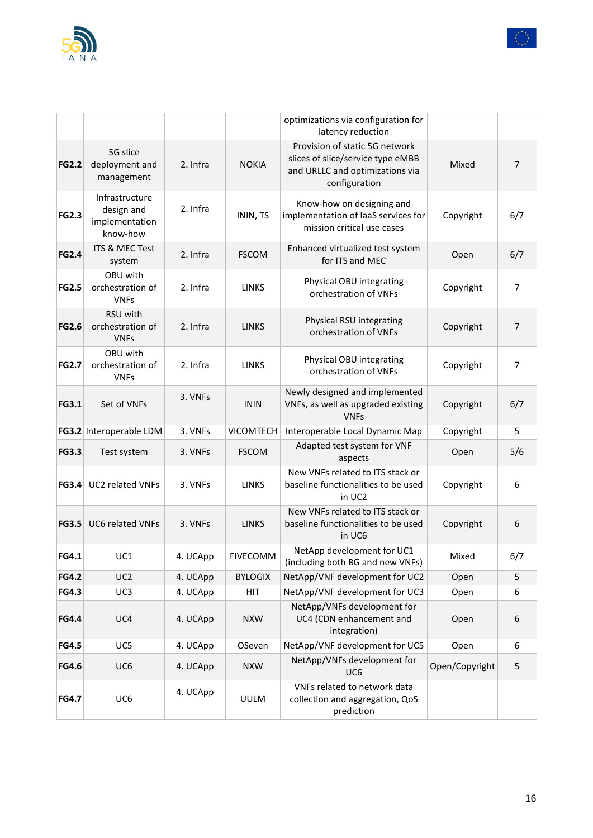

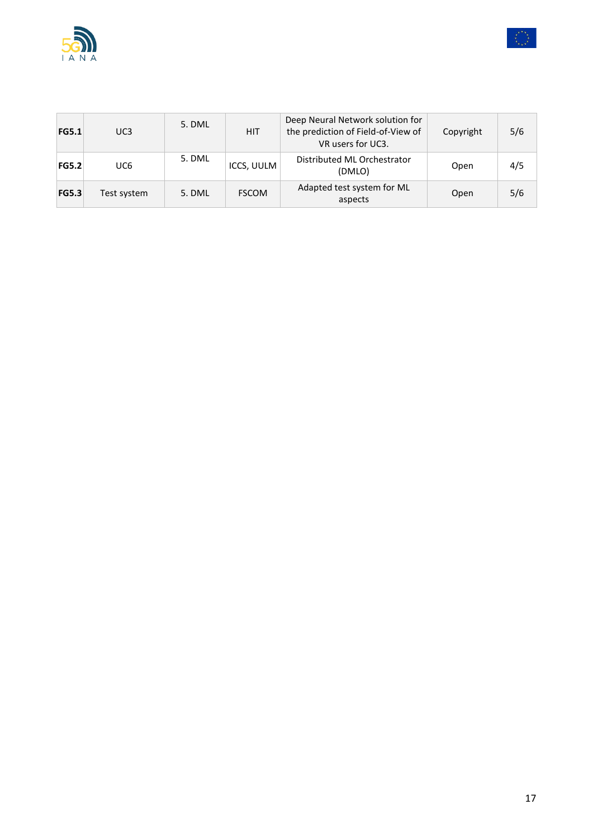



| <b>FG5.1</b> | UC3         | 5. DML | <b>HIT</b>   | Deep Neural Network solution for<br>the prediction of Field-of-View of<br>VR users for UC3. | Copyright | 5/6 |
|--------------|-------------|--------|--------------|---------------------------------------------------------------------------------------------|-----------|-----|
| <b>FG5.2</b> | UC6         | 5. DML | ICCS, UULM   | Distributed ML Orchestrator<br>(DMLO)                                                       | Open      | 4/5 |
| <b>FG5.3</b> | Test system | 5. DML | <b>FSCOM</b> | Adapted test system for ML<br>aspects                                                       | Open      | 5/6 |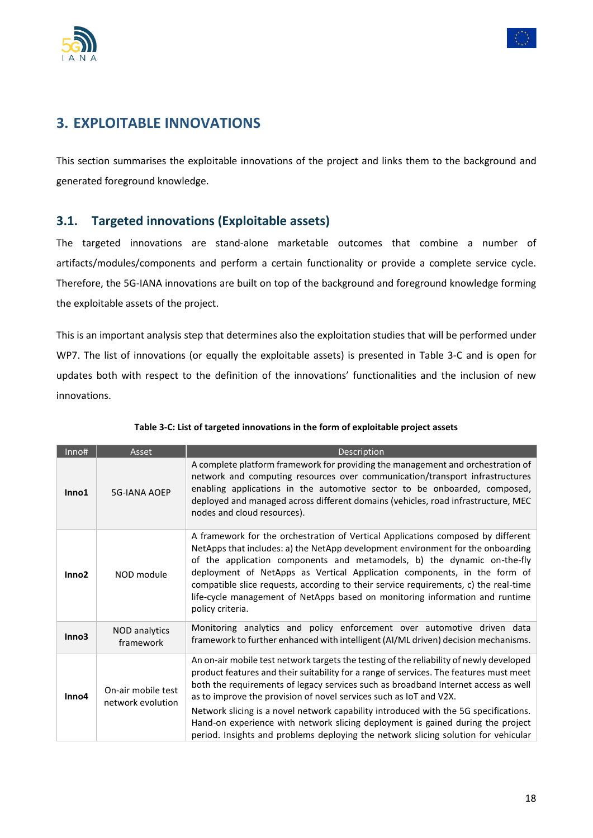



## <span id="page-17-0"></span>**3. EXPLOITABLE INNOVATIONS**

This section summarises the exploitable innovations of the project and links them to the background and generated foreground knowledge.

#### <span id="page-17-1"></span>**3.1. Targeted innovations (Exploitable assets)**

The targeted innovations are stand-alone marketable outcomes that combine a number of artifacts/modules/components and perform a certain functionality or provide a complete service cycle. Therefore, the 5G-IANA innovations are built on top of the background and foreground knowledge forming the exploitable assets of the project.

This is an important analysis step that determines also the exploitation studies that will be performed under WP7. The list of innovations (or equally the exploitable assets) is presented in [Table 3-C](#page-17-2) and is open for updates both with respect to the definition of the innovations' functionalities and the inclusion of new innovations.

<span id="page-17-2"></span>

| Inno#             | Asset                                   | Description                                                                                                                                                                                                                                                                                                                                                                                                                                                                                                                                                                                                    |
|-------------------|-----------------------------------------|----------------------------------------------------------------------------------------------------------------------------------------------------------------------------------------------------------------------------------------------------------------------------------------------------------------------------------------------------------------------------------------------------------------------------------------------------------------------------------------------------------------------------------------------------------------------------------------------------------------|
| Inno1             | <b>5G-IANA AOEP</b>                     | A complete platform framework for providing the management and orchestration of<br>network and computing resources over communication/transport infrastructures<br>enabling applications in the automotive sector to be onboarded, composed,<br>deployed and managed across different domains (vehicles, road infrastructure, MEC<br>nodes and cloud resources).                                                                                                                                                                                                                                               |
| Inno <sub>2</sub> | NOD module                              | A framework for the orchestration of Vertical Applications composed by different<br>NetApps that includes: a) the NetApp development environment for the onboarding<br>of the application components and metamodels, b) the dynamic on-the-fly<br>deployment of NetApps as Vertical Application components, in the form of<br>compatible slice requests, according to their service requirements, c) the real-time<br>life-cycle management of NetApps based on monitoring information and runtime<br>policy criteria.                                                                                         |
| Inno <sub>3</sub> | NOD analytics<br>framework              | Monitoring analytics and policy enforcement over automotive driven data<br>framework to further enhanced with intelligent (AI/ML driven) decision mechanisms.                                                                                                                                                                                                                                                                                                                                                                                                                                                  |
| Inno4             | On-air mobile test<br>network evolution | An on-air mobile test network targets the testing of the reliability of newly developed<br>product features and their suitability for a range of services. The features must meet<br>both the requirements of legacy services such as broadband Internet access as well<br>as to improve the provision of novel services such as IoT and V2X.<br>Network slicing is a novel network capability introduced with the 5G specifications.<br>Hand-on experience with network slicing deployment is gained during the project<br>period. Insights and problems deploying the network slicing solution for vehicular |

#### **Table 3-C: List of targeted innovations in the form of exploitable project assets**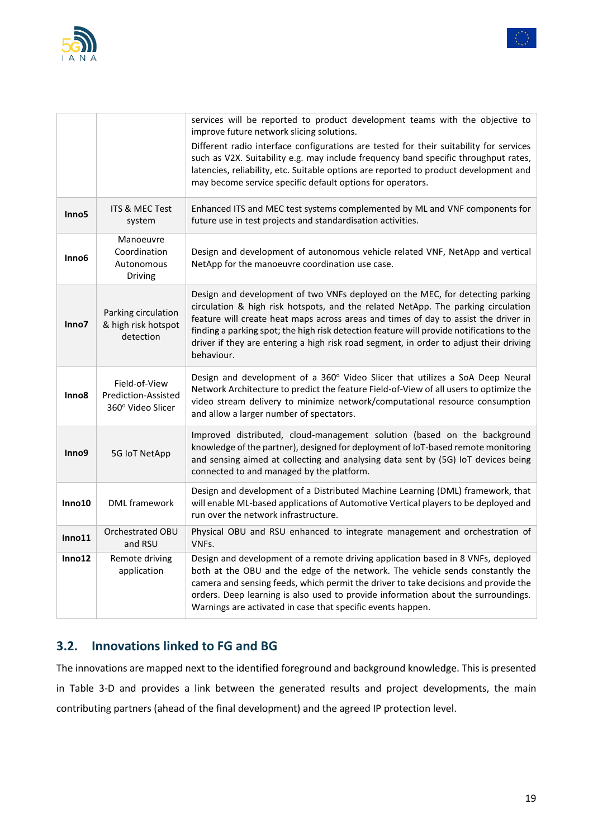



|                   |                                                           | services will be reported to product development teams with the objective to<br>improve future network slicing solutions.<br>Different radio interface configurations are tested for their suitability for services<br>such as V2X. Suitability e.g. may include frequency band specific throughput rates,<br>latencies, reliability, etc. Suitable options are reported to product development and<br>may become service specific default options for operators. |
|-------------------|-----------------------------------------------------------|-------------------------------------------------------------------------------------------------------------------------------------------------------------------------------------------------------------------------------------------------------------------------------------------------------------------------------------------------------------------------------------------------------------------------------------------------------------------|
| Inno <sub>5</sub> | <b>ITS &amp; MEC Test</b><br>system                       | Enhanced ITS and MEC test systems complemented by ML and VNF components for<br>future use in test projects and standardisation activities.                                                                                                                                                                                                                                                                                                                        |
| Inno6             | Manoeuvre<br>Coordination<br>Autonomous<br>Driving        | Design and development of autonomous vehicle related VNF, NetApp and vertical<br>NetApp for the manoeuvre coordination use case.                                                                                                                                                                                                                                                                                                                                  |
| Inno7             | Parking circulation<br>& high risk hotspot<br>detection   | Design and development of two VNFs deployed on the MEC, for detecting parking<br>circulation & high risk hotspots, and the related NetApp. The parking circulation<br>feature will create heat maps across areas and times of day to assist the driver in<br>finding a parking spot; the high risk detection feature will provide notifications to the<br>driver if they are entering a high risk road segment, in order to adjust their driving<br>behaviour.    |
| Inno <sub>8</sub> | Field-of-View<br>Prediction-Assisted<br>360° Video Slicer | Design and development of a 360° Video Slicer that utilizes a SoA Deep Neural<br>Network Architecture to predict the feature Field-of-View of all users to optimize the<br>video stream delivery to minimize network/computational resource consumption<br>and allow a larger number of spectators.                                                                                                                                                               |
| Inno9             | 5G IoT NetApp                                             | Improved distributed, cloud-management solution (based on the background<br>knowledge of the partner), designed for deployment of IoT-based remote monitoring<br>and sensing aimed at collecting and analysing data sent by (5G) IoT devices being<br>connected to and managed by the platform.                                                                                                                                                                   |
| Inno10            | <b>DML</b> framework                                      | Design and development of a Distributed Machine Learning (DML) framework, that<br>will enable ML-based applications of Automotive Vertical players to be deployed and<br>run over the network infrastructure.                                                                                                                                                                                                                                                     |
| Inno11            | Orchestrated OBU<br>and RSU                               | Physical OBU and RSU enhanced to integrate management and orchestration of<br>VNFs.                                                                                                                                                                                                                                                                                                                                                                               |
| Inno12            | Remote driving<br>application                             | Design and development of a remote driving application based in 8 VNFs, deployed<br>both at the OBU and the edge of the network. The vehicle sends constantly the<br>camera and sensing feeds, which permit the driver to take decisions and provide the<br>orders. Deep learning is also used to provide information about the surroundings.<br>Warnings are activated in case that specific events happen.                                                      |

## <span id="page-18-0"></span>**3.2. Innovations linked to FG and BG**

The innovations are mapped next to the identified foreground and background knowledge. This is presented in [Table 3-D](#page-19-0) and provides a link between the generated results and project developments, the main contributing partners (ahead of the final development) and the agreed IP protection level.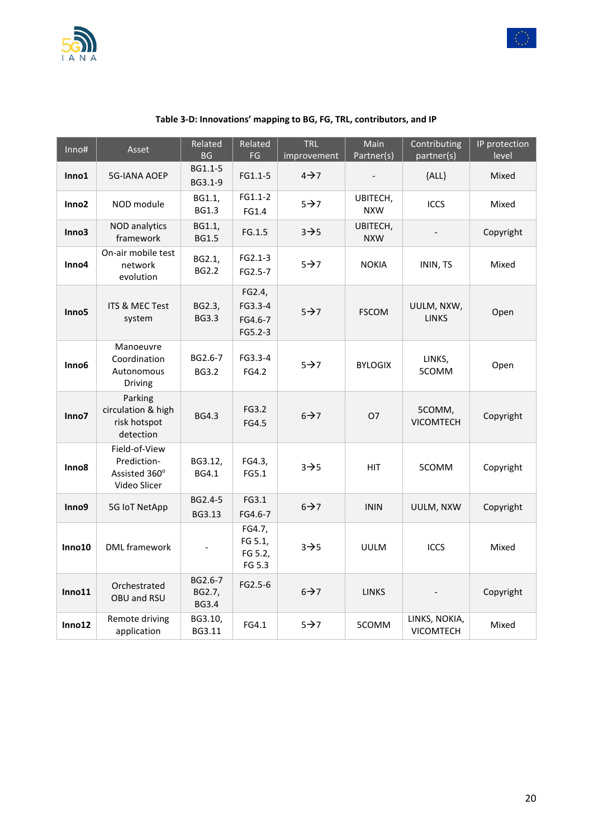



<span id="page-19-0"></span>

| Inno#             | Asset                                                         | Related<br>$\mathsf{B}\mathsf{G}$ | Related<br>FG                           | <b>TRL</b><br>improvement | Main<br>Partner(s)     | Contributing<br>partner(s) | IP protection<br>level |
|-------------------|---------------------------------------------------------------|-----------------------------------|-----------------------------------------|---------------------------|------------------------|----------------------------|------------------------|
| Inno1             | <b>5G-IANA AOEP</b>                                           | BG1.1-5<br>BG3.1-9                | FG1.1-5                                 | $4\rightarrow 7$          |                        | ${ALL}$                    | Mixed                  |
| Inno <sub>2</sub> | NOD module                                                    | BG1.1,<br><b>BG1.3</b>            | $FG1.1-2$<br>FG1.4                      | $5\rightarrow 7$          | UBITECH,<br><b>NXW</b> | <b>ICCS</b>                | Mixed                  |
| Inno3             | <b>NOD</b> analytics<br>framework                             | BG1.1,<br><b>BG1.5</b>            | FG.1.5                                  | $3 \rightarrow 5$         | UBITECH,<br><b>NXW</b> |                            | Copyright              |
| Inno4             | On-air mobile test<br>network<br>evolution                    | BG2.1,<br><b>BG2.2</b>            | FG2.1-3<br>FG2.5-7                      | $5 \rightarrow 7$         | <b>NOKIA</b>           | ININ, TS                   | Mixed                  |
| Inno <sub>5</sub> | <b>ITS &amp; MEC Test</b><br>system                           | BG2.3,<br><b>BG3.3</b>            | FG2.4,<br>FG3.3-4<br>FG4.6-7<br>FG5.2-3 | $5 \rightarrow 7$         | <b>FSCOM</b>           | UULM, NXW,<br><b>LINKS</b> | Open                   |
| Inno <sub>6</sub> | Manoeuvre<br>Coordination<br>Autonomous<br>Driving            | BG2.6-7<br><b>BG3.2</b>           | FG3.3-4<br>FG4.2                        | $5\rightarrow 7$          | <b>BYLOGIX</b>         | LINKS,<br>5COMM            | Open                   |
| Inno7             | Parking<br>circulation & high<br>risk hotspot<br>detection    | <b>BG4.3</b>                      | FG3.2<br>FG4.5                          | $6 \rightarrow 7$         | <b>O7</b>              | 5COMM,<br><b>VICOMTECH</b> | Copyright              |
| Inno <sub>8</sub> | Field-of-View<br>Prediction-<br>Assisted 360°<br>Video Slicer | BG3.12,<br>BG4.1                  | FG4.3,<br>FG5.1                         | $3 \rightarrow 5$         | <b>HIT</b>             | 5COMM                      | Copyright              |
| Inno9             | 5G IoT NetApp                                                 | BG2.4-5<br>BG3.13                 | FG3.1<br>FG4.6-7                        | $6 \rightarrow 7$         | <b>ININ</b>            | UULM, NXW                  | Copyright              |
| Inno10            | <b>DML</b> framework                                          |                                   | FG4.7,<br>FG 5.1,<br>FG 5.2,<br>FG 5.3  | $3\rightarrow 5$          | <b>UULM</b>            | ICCS                       | Mixed                  |
| Inno11            | Orchestrated<br>OBU and RSU                                   | BG2.6-7<br>BG2.7,<br><b>BG3.4</b> | FG2.5-6                                 | $6 \rightarrow 7$         | <b>LINKS</b>           |                            | Copyright              |
| Inno12            | Remote driving<br>application                                 | BG3.10,<br>BG3.11                 | FG4.1                                   | $5 \rightarrow 7$         | 5COMM                  | LINKS, NOKIA,<br>VICOMTECH | Mixed                  |

#### **Table 3-D: Innovations' mapping to BG, FG, TRL, contributors, and IP**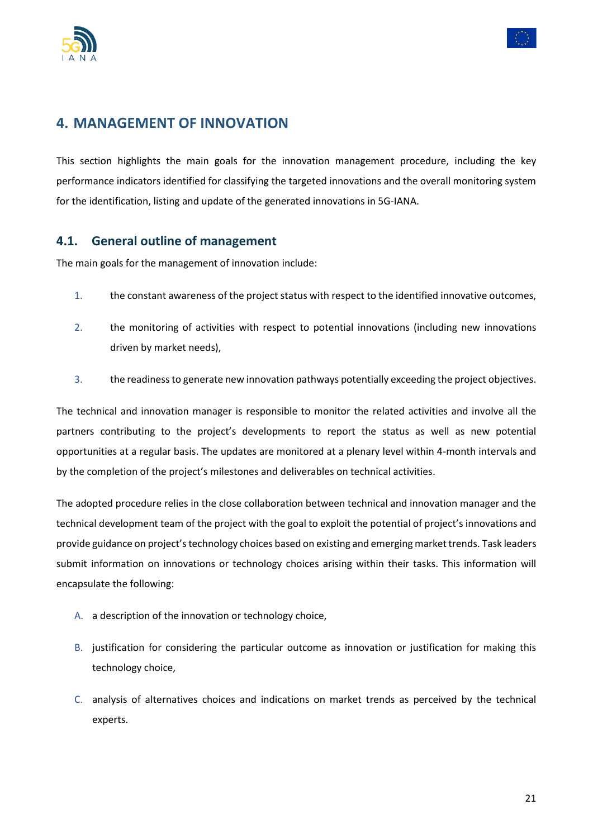



## <span id="page-20-0"></span>**4. MANAGEMENT OF INNOVATION**

This section highlights the main goals for the innovation management procedure, including the key performance indicators identified for classifying the targeted innovations and the overall monitoring system for the identification, listing and update of the generated innovations in 5G-IANA.

#### <span id="page-20-1"></span>**4.1. General outline of management**

The main goals for the management of innovation include:

- 1. the constant awareness of the project status with respect to the identified innovative outcomes,
- 2. the monitoring of activities with respect to potential innovations (including new innovations driven by market needs),
- 3. the readiness to generate new innovation pathways potentially exceeding the project objectives.

The technical and innovation manager is responsible to monitor the related activities and involve all the partners contributing to the project's developments to report the status as well as new potential opportunities at a regular basis. The updates are monitored at a plenary level within 4-month intervals and by the completion of the project's milestones and deliverables on technical activities.

The adopted procedure relies in the close collaboration between technical and innovation manager and the technical development team of the project with the goal to exploit the potential of project's innovations and provide guidance on project's technology choices based on existing and emerging market trends. Task leaders submit information on innovations or technology choices arising within their tasks. This information will encapsulate the following:

- A. a description of the innovation or technology choice,
- B. justification for considering the particular outcome as innovation or justification for making this technology choice,
- C. analysis of alternatives choices and indications on market trends as perceived by the technical experts.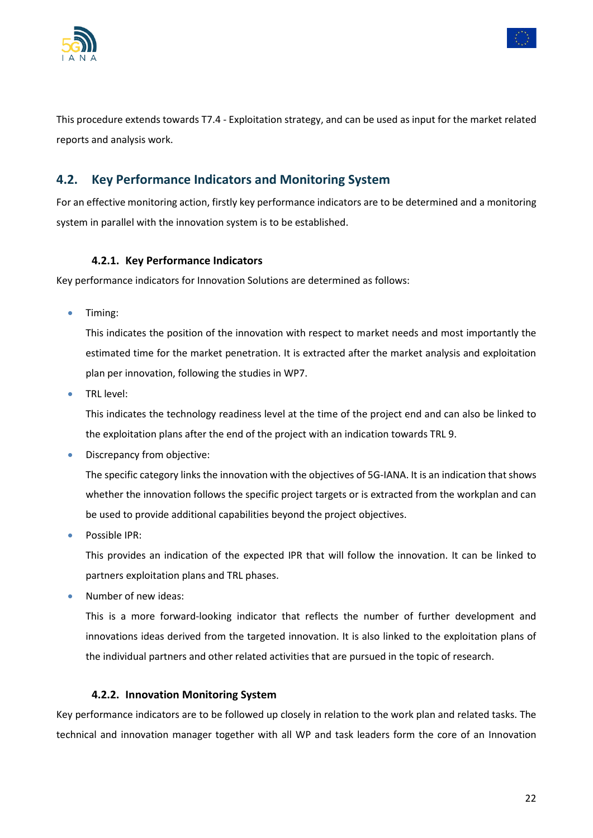



This procedure extends towards T7.4 - Exploitation strategy, and can be used as input for the market related reports and analysis work.

### <span id="page-21-0"></span>**4.2. Key Performance Indicators and Monitoring System**

For an effective monitoring action, firstly key performance indicators are to be determined and a monitoring system in parallel with the innovation system is to be established.

#### **4.2.1. Key Performance Indicators**

<span id="page-21-1"></span>Key performance indicators for Innovation Solutions are determined as follows:

• Timing:

This indicates the position of the innovation with respect to market needs and most importantly the estimated time for the market penetration. It is extracted after the market analysis and exploitation plan per innovation, following the studies in WP7.

• TRL level:

This indicates the technology readiness level at the time of the project end and can also be linked to the exploitation plans after the end of the project with an indication towards TRL 9.

• Discrepancy from objective:

The specific category links the innovation with the objectives of 5G-IANA. It is an indication that shows whether the innovation follows the specific project targets or is extracted from the workplan and can be used to provide additional capabilities beyond the project objectives.

• Possible IPR:

This provides an indication of the expected IPR that will follow the innovation. It can be linked to partners exploitation plans and TRL phases.

• Number of new ideas:

This is a more forward-looking indicator that reflects the number of further development and innovations ideas derived from the targeted innovation. It is also linked to the exploitation plans of the individual partners and other related activities that are pursued in the topic of research.

#### **4.2.2. Innovation Monitoring System**

<span id="page-21-2"></span>Key performance indicators are to be followed up closely in relation to the work plan and related tasks. The technical and innovation manager together with all WP and task leaders form the core of an Innovation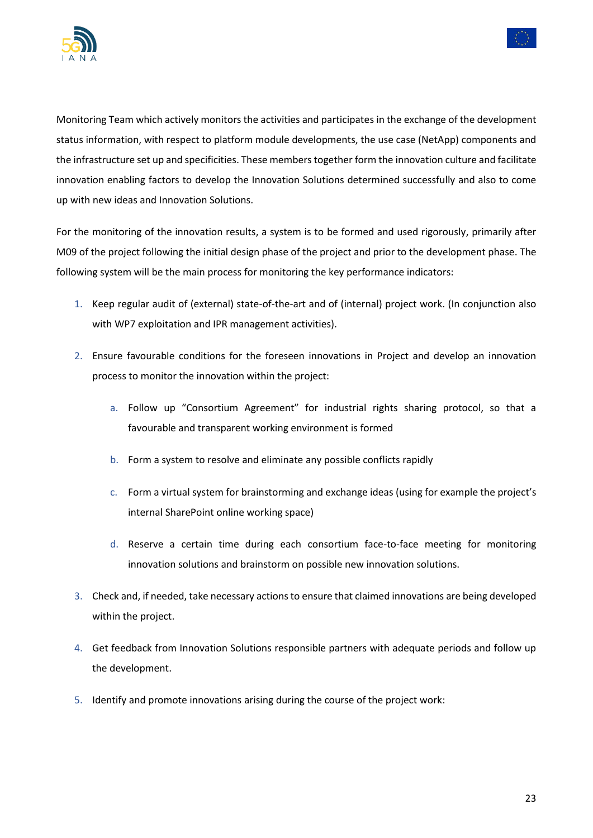



Monitoring Team which actively monitors the activities and participates in the exchange of the development status information, with respect to platform module developments, the use case (NetApp) components and the infrastructure set up and specificities. These members together form the innovation culture and facilitate innovation enabling factors to develop the Innovation Solutions determined successfully and also to come up with new ideas and Innovation Solutions.

For the monitoring of the innovation results, a system is to be formed and used rigorously, primarily after M09 of the project following the initial design phase of the project and prior to the development phase. The following system will be the main process for monitoring the key performance indicators:

- 1. Keep regular audit of (external) state-of-the-art and of (internal) project work. (In conjunction also with WP7 exploitation and IPR management activities).
- 2. Ensure favourable conditions for the foreseen innovations in Project and develop an innovation process to monitor the innovation within the project:
	- a. Follow up "Consortium Agreement" for industrial rights sharing protocol, so that a favourable and transparent working environment is formed
	- b. Form a system to resolve and eliminate any possible conflicts rapidly
	- c. Form a virtual system for brainstorming and exchange ideas (using for example the project's internal SharePoint online working space)
	- d. Reserve a certain time during each consortium face-to-face meeting for monitoring innovation solutions and brainstorm on possible new innovation solutions.
- 3. Check and, if needed, take necessary actions to ensure that claimed innovations are being developed within the project.
- 4. Get feedback from Innovation Solutions responsible partners with adequate periods and follow up the development.
- 5. Identify and promote innovations arising during the course of the project work: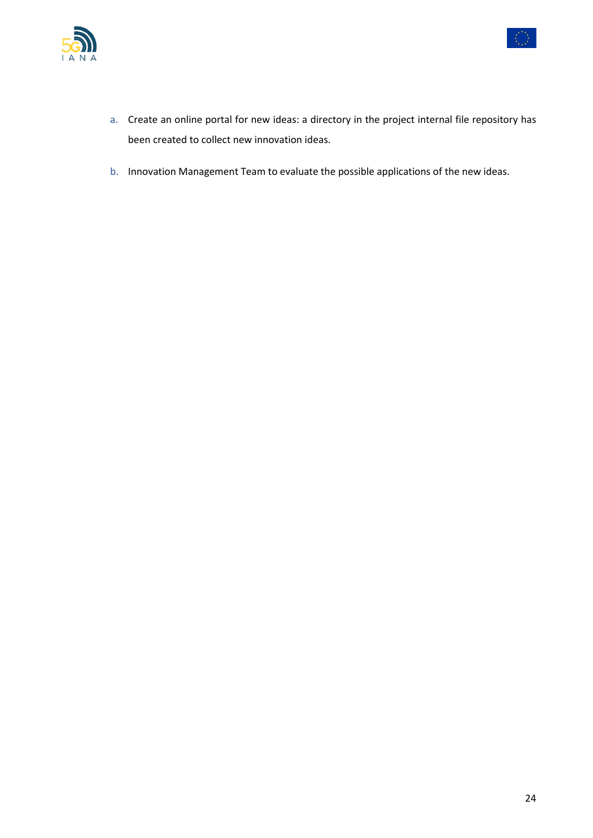



- a. Create an online portal for new ideas: a directory in the project internal file repository has been created to collect new innovation ideas.
- b. Innovation Management Team to evaluate the possible applications of the new ideas.